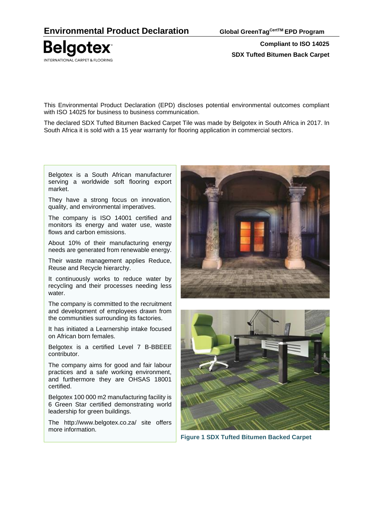**Compliant to ISO 14025 SDX Tufted Bitumen Back Carpet**

This Environmental Product Declaration (EPD) discloses potential environmental outcomes compliant with ISO 14025 for business to business communication.

The declared SDX Tufted Bitumen Backed Carpet Tile was made by Belgotex in South Africa in 2017. In South Africa it is sold with a 15 year warranty for flooring application in commercial sectors.

Belgotex is a South African manufacturer serving a worldwide soft flooring export market.

They have a strong focus on innovation, quality, and environmental imperatives.

The company is ISO 14001 certified and monitors its energy and water use, waste flows and carbon emissions.

About 10% of their manufacturing energy needs are generated from renewable energy.

Their waste management applies Reduce, Reuse and Recycle hierarchy.

It continuously works to reduce water by recycling and their processes needing less water.

The company is committed to the recruitment and development of employees drawn from the communities surrounding its factories.

It has initiated a Learnership intake focused on African born females.

Belgotex is a certified Level 7 B-BBEEE contributor.

The company aims for good and fair labour practices and a safe working environment, and furthermore they are OHSAS 18001 certified.

Belgotex 100 000 m2 manufacturing facility is 6 Green Star certified demonstrating world leadership for green buildings.

The http://www.belgotex.co.za/ site offers more information.





**Figure 1 SDX Tufted Bitumen Backed Carpet**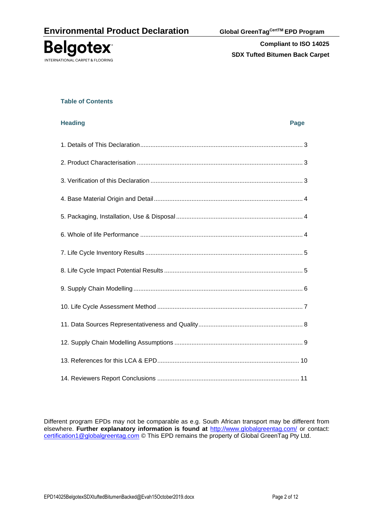

#### **Table of Contents**

| <b>Heading</b><br>Page |  |
|------------------------|--|
|                        |  |
|                        |  |
|                        |  |
|                        |  |
|                        |  |
|                        |  |
|                        |  |
|                        |  |
|                        |  |
|                        |  |
|                        |  |
|                        |  |
|                        |  |
|                        |  |

Different program EPDs may not be comparable as e.g. South African transport may be different from elsewhere. **Further explanatory information is found at** <http://www.globalgreentag.com/> or contact: [certification1@globalgreentag.com](mailto:certification1@globalgreentag.com) © This EPD remains the property of Global GreenTag Pty Ltd.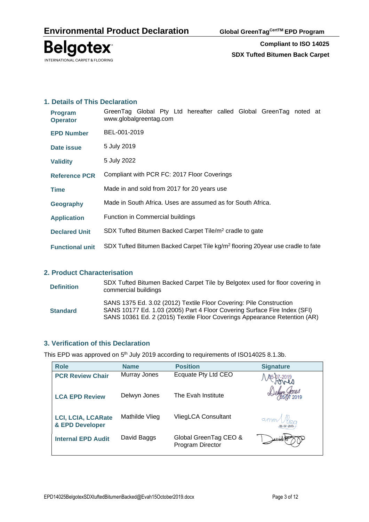

### **1. Details of This Declaration**

| <b>Program</b><br><b>Operator</b> | GreenTag Global Pty Ltd hereafter called Global GreenTag noted at<br>www.globalgreentag.com |  |  |  |  |  |  |  |  |
|-----------------------------------|---------------------------------------------------------------------------------------------|--|--|--|--|--|--|--|--|
| <b>EPD Number</b>                 | BEL-001-2019                                                                                |  |  |  |  |  |  |  |  |
| Date issue                        | 5 July 2019                                                                                 |  |  |  |  |  |  |  |  |
| <b>Validity</b>                   | 5 July 2022                                                                                 |  |  |  |  |  |  |  |  |
| <b>Reference PCR</b>              | Compliant with PCR FC: 2017 Floor Coverings                                                 |  |  |  |  |  |  |  |  |
| <b>Time</b>                       | Made in and sold from 2017 for 20 years use                                                 |  |  |  |  |  |  |  |  |
| Geography                         | Made in South Africa. Uses are assumed as for South Africa.                                 |  |  |  |  |  |  |  |  |
| <b>Application</b>                | Function in Commercial buildings                                                            |  |  |  |  |  |  |  |  |
| <b>Declared Unit</b>              | SDX Tufted Bitumen Backed Carpet Tile/m <sup>2</sup> cradle to gate                         |  |  |  |  |  |  |  |  |
| <b>Functional unit</b>            | SDX Tufted Bitumen Backed Carpet Tile kg/m <sup>2</sup> flooring 20year use cradle to fate  |  |  |  |  |  |  |  |  |

## **2. Product Characterisation**

| <b>Definition</b> | SDX Tufted Bitumen Backed Carpet Tile by Belgotex used for floor covering in<br>commercial buildings                                                                                                                          |
|-------------------|-------------------------------------------------------------------------------------------------------------------------------------------------------------------------------------------------------------------------------|
| <b>Standard</b>   | SANS 1375 Ed. 3.02 (2012) Textile Floor Covering: Pile Construction<br>SANS 10177 Ed. 1.03 (2005) Part 4 Floor Covering Surface Fire Index (SFI)<br>SANS 10361 Ed. 2 (2015) Textile Floor Coverings Appearance Retention (AR) |

#### **3. Verification of this Declaration**

This EPD was approved on  $5<sup>th</sup>$  July 2019 according to requirements of ISO14025 8.1.3b.

| <b>Role</b>                                  | <b>Name</b>    | <b>Position</b>                           | <b>Signature</b>                  |
|----------------------------------------------|----------------|-------------------------------------------|-----------------------------------|
| <b>PCR Review Chair</b>                      | Murray Jones   | Ecquate Pty Ltd CEO                       |                                   |
| <b>LCA EPD Review</b>                        | Delwyn Jones   | The Evah Institute                        |                                   |
| <b>LCI, LCIA, LCARate</b><br>& EPD Developer | Mathilde Vlieg | VliegLCA Consultant                       | $\alpha$ mm $\bigcup_{0.5072019}$ |
| <b>Internal EPD Audit</b>                    | David Baggs    | Global GreenTag CEO &<br>Program Director |                                   |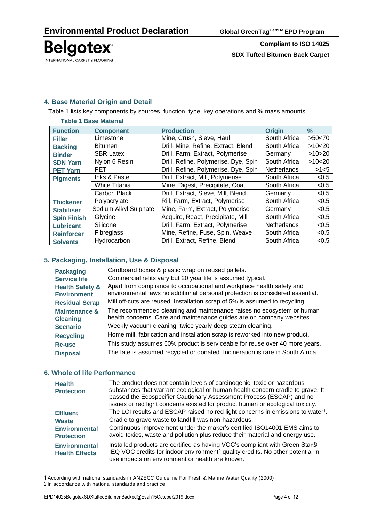

# **4. Base Material Origin and Detail**

Table 1 lists key components by sources, function, type, key operations and % mass amounts.

| <b>Table 1 Base Material</b> |                       |                                      |                    |        |  |  |  |  |
|------------------------------|-----------------------|--------------------------------------|--------------------|--------|--|--|--|--|
| <b>Function</b>              | <b>Component</b>      | <b>Production</b>                    | <b>Origin</b>      | $\%$   |  |  |  |  |
| <b>Filler</b>                | Limestone             | Mine, Crush, Sieve, Haul             | South Africa       | >50<70 |  |  |  |  |
| <b>Backing</b>               | <b>Bitumen</b>        | Drill, Mine, Refine, Extract, Blend  | South Africa       | >10<20 |  |  |  |  |
| <b>Binder</b>                | <b>SBR Latex</b>      | Drill, Farm, Extract, Polymerise     | Germany            | >10>20 |  |  |  |  |
| <b>SDN Yarn</b>              | Nylon 6 Resin         | Drill, Refine, Polymerise, Dye, Spin | South Africa       | >10<20 |  |  |  |  |
| <b>PET Yarn</b>              | <b>PET</b>            | Drill, Refine, Polymerise, Dye, Spin | <b>Netherlands</b> | >1<5   |  |  |  |  |
| <b>Pigments</b>              | Inks & Paste          | Drill, Extract, Mill, Polymerise     | South Africa       | < 0.5  |  |  |  |  |
|                              | <b>White Titania</b>  | Mine, Digest, Precipitate, Coat      | South Africa       | < 0.5  |  |  |  |  |
|                              | Carbon Black          | Drill, Extract, Sieve, Mill, Blend   | Germany            | < 0.5  |  |  |  |  |
| <b>Thickener</b>             | Polyacrylate          | Rill, Farm, Extract, Polymerise      | South Africa       | < 0.5  |  |  |  |  |
| <b>Stabiliser</b>            | Sodium Alkyl Sulphate | Mine, Farm, Extract, Polymerise      | Germany            | < 0.5  |  |  |  |  |
| <b>Spin Finish</b>           | Glycine               | Acquire, React, Precipitate, Mill    | South Africa       | < 0.5  |  |  |  |  |
| <b>Lubricant</b>             | Silicone              | Drill, Farm, Extract, Polymerise     | <b>Netherlands</b> | < 0.5  |  |  |  |  |
| <b>Reinforcer</b>            | Fibreglass            | Mine, Refine, Fuse, Spin, Weave      | South Africa       | < 0.5  |  |  |  |  |
| <b>Solvents</b>              | Hydrocarbon           | Drill, Extract, Refine, Blend        | South Africa       | < 0.5  |  |  |  |  |

### **5. Packaging, Installation, Use & Disposal**

| <b>Packaging</b>                                 | Cardboard boxes & plastic wrap on reused pallets.                                                                                                      |
|--------------------------------------------------|--------------------------------------------------------------------------------------------------------------------------------------------------------|
| <b>Service life</b>                              | Commercial refits vary but 20 year life is assumed typical.                                                                                            |
| <b>Health Safety &amp;</b><br><b>Environment</b> | Apart from compliance to occupational and workplace health safety and<br>environmental laws no additional personal protection is considered essential. |
| <b>Residual Scrap</b>                            | Mill off-cuts are reused. Installation scrap of 5% is assumed to recycling.                                                                            |
| <b>Maintenance &amp;</b><br><b>Cleaning</b>      | The recommended cleaning and maintenance raises no ecosystem or human<br>health concerns. Care and maintenance guides are on company websites.         |
| <b>Scenario</b>                                  | Weekly vacuum cleaning, twice yearly deep steam cleaning.                                                                                              |
| <b>Recycling</b>                                 | Home mill, fabrication and installation scrap is reworked into new product.                                                                            |
| Re-use                                           | This study assumes 60% product is serviceable for reuse over 40 more years.                                                                            |
| <b>Disposal</b>                                  | The fate is assumed recycled or donated. Incineration is rare in South Africa.                                                                         |

#### **6. Whole of life Performance**

| <b>Health</b><br><b>Protection</b>                      | The product does not contain levels of carcinogenic, toxic or hazardous<br>substances that warrant ecological or human health concern cradle to grave. It<br>passed the Ecospecifier Cautionary Assessment Process (ESCAP) and no<br>issues or red light concerns existed for product human or ecological toxicity. |
|---------------------------------------------------------|---------------------------------------------------------------------------------------------------------------------------------------------------------------------------------------------------------------------------------------------------------------------------------------------------------------------|
| <b>Effluent</b><br><b>Waste</b><br><b>Environmental</b> | The LCI results and ESCAP raised no red light concerns in emissions to water <sup>1</sup> .<br>Cradle to grave waste to landfill was non-hazardous.<br>Continuous improvement under the maker's certified ISO14001 EMS aims to                                                                                      |
| <b>Protection</b>                                       | avoid toxics, waste and pollution plus reduce their material and energy use.                                                                                                                                                                                                                                        |
| <b>Environmental</b><br><b>Health Effects</b>           | Installed products are certified as having VOC's compliant with Green Star®<br>IEQ VOC credits for indoor environment <sup>2</sup> quality credits. No other potential in-<br>use impacts on environment or health are known.                                                                                       |

<sup>1</sup> According with national standards in ANZECC Guideline For Fresh & Marine Water Quality (2000) 2 in accordance with national standards and practice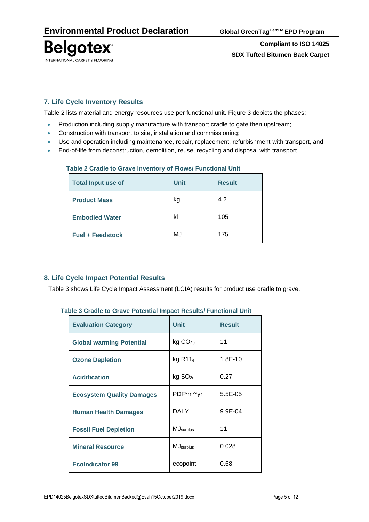

# **7. Life Cycle Inventory Results**

Table 2 lists material and energy resources use per functional unit. Figure 3 depicts the phases:

- Production including supply manufacture with transport cradle to gate then upstream;
- Construction with transport to site, installation and commissioning;
- Use and operation including maintenance, repair, replacement, refurbishment with transport, and
- End-of-life from deconstruction, demolition, reuse, recycling and disposal with transport.

| <b>Total Input use of</b> | <b>Unit</b> | <b>Result</b> |
|---------------------------|-------------|---------------|
| <b>Product Mass</b>       | kg          | 4.2           |
| <b>Embodied Water</b>     | kl          | 105           |
| <b>Fuel + Feedstock</b>   | MJ          | 175           |

### **Table 2 Cradle to Grave Inventory of Flows/ Functional Unit**

## **8. Life Cycle Impact Potential Results**

Table 3 shows Life Cycle Impact Assessment (LCIA) results for product use cradle to grave.

|  |  |  | Table 3 Cradle to Grave Potential Impact Results/ Functional Unit |  |
|--|--|--|-------------------------------------------------------------------|--|
|  |  |  |                                                                   |  |

| <b>Evaluation Category</b>       | <b>Unit</b>         | <b>Result</b> |  |  |
|----------------------------------|---------------------|---------------|--|--|
| <b>Global warming Potential</b>  | kg CO <sub>2e</sub> | 11            |  |  |
| <b>Ozone Depletion</b>           | $kg$ R11 $_e$       | $1.8E - 10$   |  |  |
| <b>Acidification</b>             | kg SO <sub>2e</sub> | 0.27          |  |  |
| <b>Ecosystem Quality Damages</b> | $PDF^*m^2*yr$       | $5.5E-0.5$    |  |  |
| <b>Human Health Damages</b>      | DALY                | 9.9E-04       |  |  |
| <b>Fossil Fuel Depletion</b>     | <b>MJ</b> surplus   | 11            |  |  |
| <b>Mineral Resource</b>          | <b>MJ</b> surplus   | 0.028         |  |  |
| <b>EcoIndicator 99</b>           | ecopoint            | 0.68          |  |  |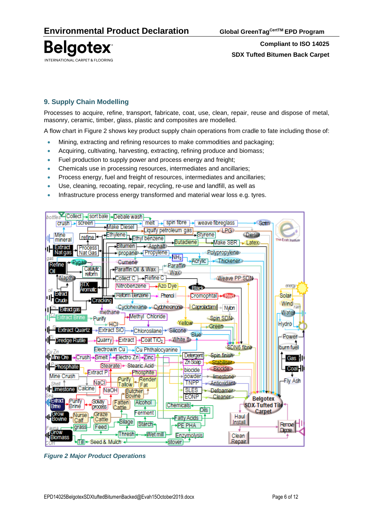

# **9. Supply Chain Modelling**

Processes to acquire, refine, transport, fabricate, coat, use, clean, repair, reuse and dispose of metal, masonry, ceramic, timber, glass, plastic and composites are modelled.

A flow chart in Figure 2 shows key product supply chain operations from cradle to fate including those of:

- Mining, extracting and refining resources to make commodities and packaging;
- Acquiring, cultivating, harvesting, extracting, refining produce and biomass;
- Fuel production to supply power and process energy and freight;
- Chemicals use in processing resources, intermediates and ancillaries;
- Process energy, fuel and freight of resources, intermediates and ancillaries;
- Use, cleaning, recoating, repair, recycling, re-use and landfill, as well as
- Infrastructure process energy transformed and material wear loss e.g. tyres.



*Figure 2 Major Product Operations*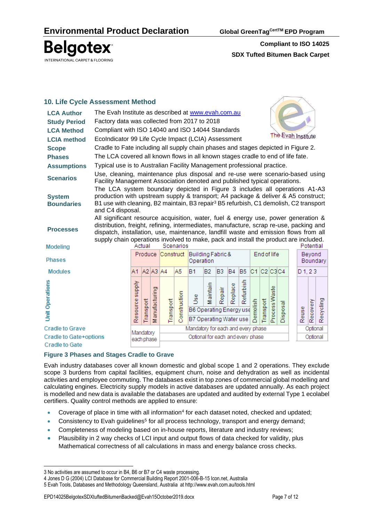**Compliant to ISO 14025 SDX Tufted Bitumen Back Carpet**

## **10. Life Cycle Assessment Method**

| <b>LCA Author</b>                                                                                  | The Evah Institute as described at www.evah.com.au                                                                                                                                                                                                                                                                                                                                               |                                                                                   |           |                |           |              |                                                  |               |                |           |                |             |             |               |          |                    |                      |           |
|----------------------------------------------------------------------------------------------------|--------------------------------------------------------------------------------------------------------------------------------------------------------------------------------------------------------------------------------------------------------------------------------------------------------------------------------------------------------------------------------------------------|-----------------------------------------------------------------------------------|-----------|----------------|-----------|--------------|--------------------------------------------------|---------------|----------------|-----------|----------------|-------------|-------------|---------------|----------|--------------------|----------------------|-----------|
| <b>Study Period</b>                                                                                | Factory data was collected from 2017 to 2018                                                                                                                                                                                                                                                                                                                                                     |                                                                                   |           |                |           |              |                                                  |               |                |           |                |             |             |               |          |                    |                      |           |
| <b>LCA Method</b>                                                                                  | Compliant with ISO 14040 and ISO 14044 Standards                                                                                                                                                                                                                                                                                                                                                 |                                                                                   |           |                |           |              |                                                  |               |                |           |                |             |             |               |          |                    |                      |           |
| <b>LCIA</b> method                                                                                 |                                                                                                                                                                                                                                                                                                                                                                                                  | The Evah Institute<br>EcoIndicator 99 Life Cycle Impact (LCIA) Assessment         |           |                |           |              |                                                  |               |                |           |                |             |             |               |          |                    |                      |           |
| <b>Scope</b>                                                                                       |                                                                                                                                                                                                                                                                                                                                                                                                  | Cradle to Fate including all supply chain phases and stages depicted in Figure 2. |           |                |           |              |                                                  |               |                |           |                |             |             |               |          |                    |                      |           |
| <b>Phases</b>                                                                                      | The LCA covered all known flows in all known stages cradle to end of life fate.                                                                                                                                                                                                                                                                                                                  |                                                                                   |           |                |           |              |                                                  |               |                |           |                |             |             |               |          |                    |                      |           |
| <b>Assumptions</b>                                                                                 | Typical use is to Australian Facility Management professional practice.                                                                                                                                                                                                                                                                                                                          |                                                                                   |           |                |           |              |                                                  |               |                |           |                |             |             |               |          |                    |                      |           |
| <b>Scenarios</b>                                                                                   | Use, cleaning, maintenance plus disposal and re-use were scenario-based using<br>Facility Management Association denoted and published typical operations.                                                                                                                                                                                                                                       |                                                                                   |           |                |           |              |                                                  |               |                |           |                |             |             |               |          |                    |                      |           |
| <b>System</b><br><b>Boundaries</b>                                                                 | The LCA system boundary depicted in Figure 3 includes all operations A1-A3<br>production with upstream supply & transport; A4 package & deliver & A5 construct;<br>B1 use with cleaning, B2 maintain, B3 repair <sup>3</sup> B5 refurbish, C1 demolish, C2 transport<br>and C4 disposal.                                                                                                         |                                                                                   |           |                |           |              |                                                  |               |                |           |                |             |             |               |          |                    |                      |           |
| <b>Processes</b><br>Modeling                                                                       | All significant resource acquisition, water, fuel & energy use, power generation &<br>distribution, freight, refining, intermediates, manufacture, scrap re-use, packing and<br>dispatch, installation, use, maintenance, landfill waste and emission flows from all<br>supply chain operations involved to make, pack and install the product are included.<br>Actual<br>Scenarios<br>Potential |                                                                                   |           |                |           |              |                                                  |               |                |           |                |             |             |               |          |                    |                      |           |
| <b>Phases</b>                                                                                      |                                                                                                                                                                                                                                                                                                                                                                                                  |                                                                                   |           |                |           |              | Produce Construct Building Fabric &<br>Operation |               |                |           |                |             | End of life |               |          | Beyond<br>Boundary |                      |           |
| <b>Modules</b>                                                                                     |                                                                                                                                                                                                                                                                                                                                                                                                  | A1                                                                                |           | $A2$ $A3$ $A4$ |           | A5           | <b>B1</b>                                        | <b>B2</b>     | B <sub>3</sub> | <b>B4</b> | B <sub>5</sub> | C1 C2 C3 C4 |             |               |          | $D_1, 23$          |                      |           |
| <b>Unit Operations</b>                                                                             |                                                                                                                                                                                                                                                                                                                                                                                                  | Resource supply                                                                   | Transport | Manufacturing  | Transport | Construction | <b>Sec</b><br>B6 Operating Energy use            | aintain<br>53 | Repair         | Replace   | Refurbish      | molish<br>ā | Transport   | Process Waste | Disposal | Reuse              | Recovery             | Recycling |
|                                                                                                    |                                                                                                                                                                                                                                                                                                                                                                                                  |                                                                                   |           |                |           |              | B7 Operating Water use                           |               |                |           |                |             |             |               |          |                    |                      |           |
| <b>Cradle to Grave</b>                                                                             |                                                                                                                                                                                                                                                                                                                                                                                                  | Mandatory                                                                         |           |                |           |              | Mandatory for each and every phase               |               |                |           |                |             |             |               |          |                    | Optional<br>Optional |           |
| Optional for each and every phase<br>Cradle to Gate+options<br>each phase<br><b>Cradle to Gate</b> |                                                                                                                                                                                                                                                                                                                                                                                                  |                                                                                   |           |                |           |              |                                                  |               |                |           |                |             |             |               |          |                    |                      |           |

#### **Figure 3 Phases and Stages Cradle to Grave**

Evah industry databases cover all known domestic and global scope 1 and 2 operations. They exclude scope 3 burdens from capital facilities, equipment churn, noise and dehydration as well as incidental activities and employee commuting. The databases exist in top zones of commercial global modelling and calculating engines. Electricity supply models in active databases are updated annually. As each project is modelled and new data is available the databases are updated and audited by external Type 1 ecolabel certifiers. Quality control methods are applied to ensure:

- Coverage of place in time with all information<sup>4</sup> for each dataset noted, checked and updated;
- Consistency to Evah guidelines<sup>5</sup> for all process technology, transport and energy demand;
- Completeness of modeling based on in-house reports, literature and industry reviews;
- Plausibility in 2 way checks of LCI input and output flows of data checked for validity, plus Mathematical correctness of all calculations in mass and energy balance cross checks.

<sup>3</sup> No activities are assumed to occur in B4, B6 or B7 or C4 waste processing.

<sup>4</sup> Jones D G (2004) LCI Database for Commercial Building Report 2001-006-B-15 Icon.net, Australia

<sup>5</sup> Evah Tools, Databases and Methodology Queensland, Australia at<http://www.evah.com.au/tools.html>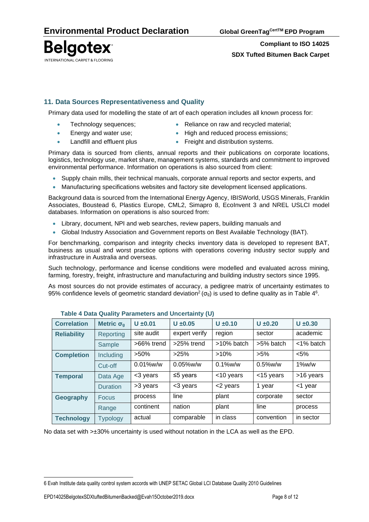**Compliant to ISO 14025 SDX Tufted Bitumen Back Carpet**

## **11. Data Sources Representativeness and Quality**

Primary data used for modelling the state of art of each operation includes all known process for:

- - Technology sequences;  **Reliance on raw and recycled material**;
- Energy and water use; High and reduced process emissions;
	- Landfill and effluent plus Freight and distribution systems.

Primary data is sourced from clients, annual reports and their publications on corporate locations, logistics, technology use, market share, management systems, standards and commitment to improved environmental performance. Information on operations is also sourced from client:

- Supply chain mills, their technical manuals, corporate annual reports and sector experts, and
- Manufacturing specifications websites and factory site development licensed applications.

Background data is sourced from the International Energy Agency, IBISWorld, USGS Minerals, Franklin Associates, Boustead 6, Plastics Europe, CML2, Simapro 8, EcoInvent 3 and NREL USLCI model databases. Information on operations is also sourced from:

- Library, document, NPI and web searches, review papers, building manuals and
- Global Industry Association and Government reports on Best Available Technology (BAT).

For benchmarking, comparison and integrity checks inventory data is developed to represent BAT, business as usual and worst practice options with operations covering industry sector supply and infrastructure in Australia and overseas.

Such technology, performance and license conditions were modelled and evaluated across mining, farming, forestry, freight, infrastructure and manufacturing and building industry sectors since 1995.

As most sources do not provide estimates of accuracy, a pedigree matrix of uncertainty estimates to 95% confidence levels of geometric standard deviation<sup>2</sup> ( $\sigma_g$ ) is used to define quality as in Table 4<sup>6</sup>.

| <b>Correlation</b> | Metric $\sigma_g$ | $U \pm 0.01$ | $U \pm 0.05$            | $U \pm 0.10$  | $U \pm 0.20$ | $U \pm 0.30$ |  |  |  |  |  |  |
|--------------------|-------------------|--------------|-------------------------|---------------|--------------|--------------|--|--|--|--|--|--|
| <b>Reliability</b> | Reporting         | site audit   | expert verify<br>region |               | sector       | academic     |  |  |  |  |  |  |
|                    | Sample            | >66% trend   | $>25\%$ trend           | $>10\%$ batch | >5% batch    | $<$ 1% batch |  |  |  |  |  |  |
| <b>Completion</b>  | <b>Including</b>  | $>50\%$      | >25%                    | $>10\%$       | $>5\%$       | $< 5\%$      |  |  |  |  |  |  |
|                    | Cut-off           | $0.01\%$ w/w | $0.05\%$ w/w            | $0.1\%$ w/w   | $0.5\%$ w/w  | $1\%$ w/w    |  |  |  |  |  |  |
| <b>Temporal</b>    | Data Age          | <3 years     | ≤5 years                | <10 years     | <15 years    | >16 years    |  |  |  |  |  |  |
|                    | <b>Duration</b>   | >3 years     | <3 years                | <2 years      | 1 year       | <1 year      |  |  |  |  |  |  |
| Geography          | <b>Focus</b>      | process      | line                    | plant         | corporate    | sector       |  |  |  |  |  |  |
|                    | Range             | continent    | nation                  | plant         | line         | process      |  |  |  |  |  |  |
| <b>Technology</b>  | <b>Typology</b>   | actual       | comparable              | in class      | convention   | in sector    |  |  |  |  |  |  |

#### **Table 4 Data Quality Parameters and Uncertainty (U)**

No data set with >±30% uncertainty is used without notation in the LCA as well as the EPD.

<sup>6</sup> Evah Institute data quality control system accords with UNEP SETAC Global LCI Database Quality 2010 Guidelines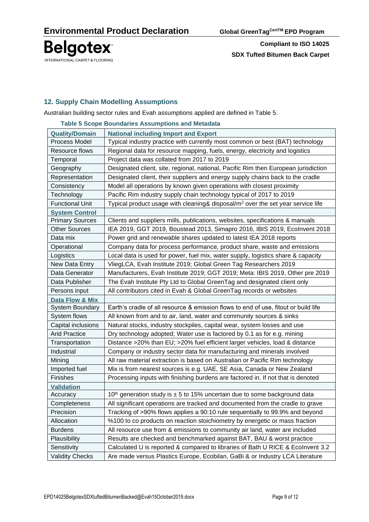**Compliant to ISO 14025 SDX Tufted Bitumen Back Carpet**

## **12. Supply Chain Modelling Assumptions**

Australian building sector rules and Evah assumptions applied are defined in Table 5.

|                            | rapie o ocupe Dudituaries Assumptions and metadata                                          |
|----------------------------|---------------------------------------------------------------------------------------------|
| <b>Quality/Domain</b>      | <b>National including Import and Export</b>                                                 |
| Process Model              | Typical industry practice with currently most common or best (BAT) technology               |
| Resource flows             | Regional data for resource mapping, fuels, energy, electricity and logistics                |
| Temporal                   | Project data was collated from 2017 to 2019                                                 |
| Geography                  | Designated client, site, regional, national, Pacific Rim then European jurisdiction         |
| Representation             | Designated client, their suppliers and energy supply chains back to the cradle              |
| Consistency                | Model all operations by known given operations with closest proximity                       |
| Technology                 | Pacific Rim industry supply chain technology typical of 2017 to 2019                        |
| <b>Functional Unit</b>     | Typical product usage with cleaning& disposal/m <sup>2</sup> over the set year service life |
| <b>System Control</b>      |                                                                                             |
| <b>Primary Sources</b>     | Clients and suppliers mills, publications, websites, specifications & manuals               |
| <b>Other Sources</b>       | IEA 2019, GGT 2019, Boustead 2013, Simapro 2016, IBIS 2019, Ecolnvent 2018                  |
| Data mix                   | Power grid and renewable shares updated to latest IEA 2018 reports                          |
| Operational                | Company data for process performance, product share, waste and emissions                    |
| Logistics                  | Local data is used for power, fuel mix, water supply, logistics share & capacity            |
| New Data Entry             | VliegLCA, Evah Institute 2019; Global Green Tag Researchers 2019                            |
| Data Generator             | Manufacturers, Evah Institute 2019; GGT 2019; Meta: IBIS 2019, Other pre 2019               |
| Data Publisher             | The Evah Institute Pty Ltd to Global GreenTag and designated client only                    |
| Persons input              | All contributors cited in Evah & Global GreenTag records or websites                        |
| <b>Data Flow &amp; Mix</b> |                                                                                             |
| <b>System Boundary</b>     | Earth's cradle of all resource & emission flows to end of use, fitout or build life         |
| System flows               | All known from and to air, land, water and community sources & sinks                        |
| Capital inclusions         | Natural stocks, industry stockpiles, capital wear, system losses and use                    |
| <b>Arid Practice</b>       | Dry technology adopted; Water use is factored by 0.1 as for e.g. mining                     |
| Transportation             | Distance >20% than EU; >20% fuel efficient larger vehicles, load & distance                 |
| Industrial                 | Company or industry sector data for manufacturing and minerals involved                     |
| Mining                     | All raw material extraction is based on Australian or Pacific Rim technology                |
| Imported fuel              | Mix is from nearest sources is e.g. UAE, SE Asia, Canada or New Zealand                     |
| Finishes                   | Processing inputs with finishing burdens are factored in. If not that is denoted            |
| <b>Validation</b>          |                                                                                             |
| Accuracy                   | 10 <sup>th</sup> generation study is $\pm$ 5 to 15% uncertain due to some background data   |
| Completeness               | All significant operations are tracked and documented from the cradle to grave              |
| Precision                  | Tracking of >90% flows applies a 90:10 rule sequentially to 99.9% and beyond                |
| Allocation                 | %100 to co products on reaction stoichiometry by energetic or mass fraction                 |
| <b>Burdens</b>             | All resource use from & emissions to community air land, water are included                 |
| Plausibility               | Results are checked and benchmarked against BAT, BAU & worst practice                       |
| Sensitivity                | Calculated U is reported & compared to libraries of Bath U RICE & Ecolnvent 3.2             |
| <b>Validity Checks</b>     | Are made versus Plastics Europe, Ecobilan, GaBi & or Industry LCA Literature                |

**Table 5 Scope Boundaries Assumptions and Metadata**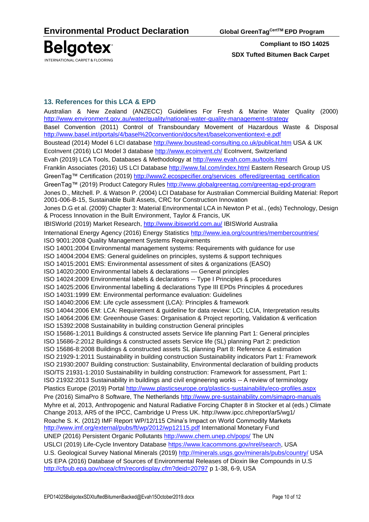

## **13. References for this LCA & EPD**

Australian & New Zealand [\(ANZECC\) Guidelines For Fresh & Marine Water Quality](http://www.environment.gov.au/topics/water/water-quality/national-water-quality-management-strategy) (2000) <http://www.environment.gov.au/water/quality/national-water-quality-management-strategy> Basel Convention (2011) Control of Transboundary Movement of Hazardous Waste & Disposal <http://www.basel.int/portals/4/basel%20convention/docs/text/baselconventiontext-e.pdf> Boustead (2014) Model 6 LCI database<http://www.boustead-consulting.co.uk/publicat.htm> USA & UK EcoInvent (2016) LCI Model 3 database<http://www.ecoinvent.ch/> EcoInvent, Switzerland Evah (2019) LCA Tools, Databases & Methodology at<http://www.evah.com.au/tools.html> Franklin Associates (2016) US LCI Database <http://www.fal.com/index.html> Eastern Research Group US GreenTag™ Certification (2019) [http://www2.ecospecifier.org/services\\_offered/greentag\\_certification](http://www2.ecospecifier.org/services_offered/greentag_certification) GreenTag™ (2019) Product Category Rules<http://www.globalgreentag.com/greentag-epd-program> Jones D., Mitchell. P. & Watson P. (2004) LCI Database for Australian Commercial Building Material: Report 2001-006-B-15, Sustainable Built Assets, CRC for Construction Innovation Jones D.G et al. (2009) Chapter 3: Material Environmental LCA in Newton P et al., (eds) Technology, Design & Process Innovation in the Built Environment, Taylor & Francis, UK IBISWorld (2019) Market Research,<http://www.ibisworld.com.au/> IBISWorld Australia International Energy Agency (2016) Energy Statistics<http://www.iea.org/countries/membercountries/> ISO 9001:2008 Quality Management Systems Requirements ISO 14001:2004 Environmental management systems: Requirements with guidance for use ISO 14004:2004 EMS: General guidelines on principles, systems & support techniques ISO 14015:2001 EMS: Environmental assessment of sites & organizations (EASO) ISO 14020:2000 Environmental labels & declarations — General principles ISO 14024:2009 Environmental labels & declarations -- Type I Principles & procedures ISO 14025:2006 Environmental labelling & declarations Type III EPDs Principles & procedures ISO 14031:1999 EM: Environmental performance evaluation: Guidelines ISO 14040:2006 EM: Life cycle assessment (LCA): Principles & framework ISO 14044:2006 EM: LCA: Requirement & guideline for data review: LCI; LCIA, Interpretation results ISO 14064:2006 EM: Greenhouse Gases: Organisation & Project reporting, Validation & verification ISO 15392:2008 Sustainability in building construction General principles ISO 15686-1:2011 Buildings & constructed assets Service life planning Part 1: General principles ISO 15686-2:2012 Buildings & constructed assets Service life (SL) planning Part 2: prediction ISO 15686-8:2008 Buildings & constructed assets SL planning Part 8: Reference & estimation ISO 21929-1:2011 Sustainability in building construction Sustainability indicators Part 1: Framework ISO 21930:2007 Building construction: Sustainability, Environmental declaration of building products ISO/TS 21931-1:2010 Sustainability in building construction: Framework for assessment, Part 1: ISO 21932:2013 Sustainability in buildings and civil engineering works -- A review of terminology Plastics Europe (2019) Portal<http://www.plasticseurope.org/plastics-sustainability/eco-profiles.aspx> Pre (2016) SimaPro 8 Software, The Netherlands<http://www.pre-sustainability.com/simapro-manuals> Myhre et al, 2013, Anthropogenic and Natural Radiative Forcing Chapter 8 in Stocker et al (eds.) Climate Change 2013, AR5 of the IPCC, Cambridge U Press UK.<http://www.ipcc.ch/report/ar5/wg1/> Roache S. K. (2012) IMF Report WP/12/115 China's Impact on World Commodity Markets <http://www.imf.org/external/pubs/ft/wp/2012/wp12115.pdf> International Monetary Fund UNEP (2016) Persistent Organic Pollutants<http://www.chem.unep.ch/pops/> The UN USLCI (2019) Life-Cycle Inventory Database [https://www.lcacommons.gov/nrel/search,](https://www.lcacommons.gov/nrel/search) USA U.S. Geological Survey National Minerals (2019)<http://minerals.usgs.gov/minerals/pubs/country/> USA US EPA (2016) Database of Sources of Environmental Releases of Dioxin like Compounds in U.S <http://cfpub.epa.gov/ncea/cfm/recordisplay.cfm?deid=20797> p 1-38, 6-9, USA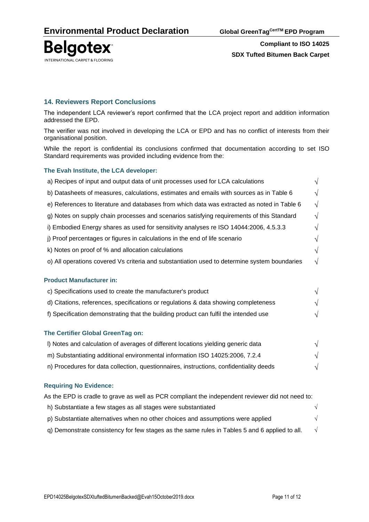

#### **14. Reviewers Report Conclusions**

The independent LCA reviewer's report confirmed that the LCA project report and addition information addressed the EPD.

The verifier was not involved in developing the LCA or EPD and has no conflict of interests from their organisational position.

While the report is confidential its conclusions confirmed that documentation according to set ISO Standard requirements was provided including evidence from the:

#### **The Evah Institute, the LCA developer:**

| a) Recipes of input and output data of unit processes used for LCA calculations              |            |  |  |
|----------------------------------------------------------------------------------------------|------------|--|--|
| b) Datasheets of measures, calculations, estimates and emails with sources as in Table 6     |            |  |  |
| e) References to literature and databases from which data was extracted as noted in Table 6  | $\sqrt{ }$ |  |  |
| g) Notes on supply chain processes and scenarios satisfying requirements of this Standard    | $\sqrt{ }$ |  |  |
| i) Embodied Energy shares as used for sensitivity analyses re ISO 14044:2006, 4.5.3.3        |            |  |  |
| j) Proof percentages or figures in calculations in the end of life scenario                  |            |  |  |
| k) Notes on proof of % and allocation calculations                                           |            |  |  |
| o) All operations covered Vs criteria and substantiation used to determine system boundaries | $\sqrt{ }$ |  |  |
| <b>Product Manufacturer in:</b>                                                              |            |  |  |
| c) Specifications used to create the manufacturer's product                                  | $\sqrt{ }$ |  |  |
| d) Citations, references, specifications or regulations & data showing completeness          |            |  |  |
| f) Specification demonstrating that the building product can fulfil the intended use         |            |  |  |
|                                                                                              |            |  |  |
| The Certifier Global GreenTag on:                                                            |            |  |  |
| I) Notes and calculation of averages of different locations yielding generic data            |            |  |  |

- m) Substantiating additional environmental information ISO 14025:2006, 7.2.4  $\sqrt{ }$
- n) Procedures for data collection, questionnaires, instructions, confidentiality deeds  $\sqrt{}$

#### **Requiring No Evidence:**

| As the EPD is cradle to grave as well as PCR compliant the independent reviewer did not need to: |            |  |
|--------------------------------------------------------------------------------------------------|------------|--|
| h) Substantiate a few stages as all stages were substantiated                                    | $\sqrt{ }$ |  |
| p) Substantiate alternatives when no other choices and assumptions were applied                  | $\sqrt{2}$ |  |
| q) Demonstrate consistency for few stages as the same rules in Tables 5 and 6 applied to all.    | $\sqrt{ }$ |  |